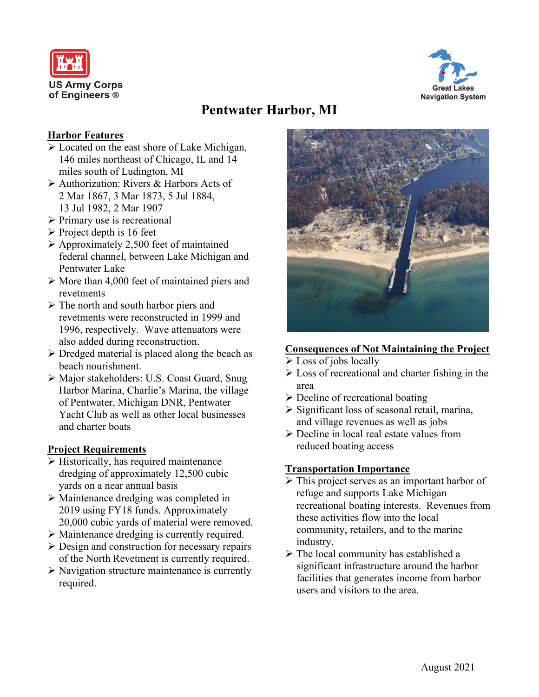



# **Pentwater Harbor, MI**

## **Harbor Features**

- $\triangleright$  Located on the east shore of Lake Michigan, 146 miles northeast of Chicago, IL and 14 miles south of Ludington, MI
- Authorization: Rivers & Harbors Acts of 2 Mar 1867, 3 Mar 1873, 5 Jul 1884, 13 Jul 1982, 2 Mar 1907
- $\triangleright$  Primary use is recreational
- $\triangleright$  Project depth is 16 feet
- $\triangleright$  Approximately 2,500 feet of maintained federal channel, between Lake Michigan and Pentwater Lake
- $\triangleright$  More than 4,000 feet of maintained piers and revetments
- $\triangleright$  The north and south harbor piers and revetments were reconstructed in 1999 and 1996, respectively. Wave attenuators were also added during reconstruction.
- $\triangleright$  Dredged material is placed along the beach as beach nourishment.
- Major stakeholders: U.S. Coast Guard, Snug Harbor Marina, Charlie's Marina, the village of Pentwater, Michigan DNR, Pentwater Yacht Club as well as other local businesses and charter boats

## **Project Requirements**

- $\triangleright$  Historically, has required maintenance dredging of approximately 12,500 cubic yards on a near annual basis
- Maintenance dredging was completed in 2019 using FY18 funds. Approximately 20,000 cubic yards of material were removed.
- Maintenance dredging is currently required.
- $\triangleright$  Design and construction for necessary repairs of the North Revetment is currently required.
- $\triangleright$  Navigation structure maintenance is currently required.



# **Consequences of Not Maintaining the Project**

- $\triangleright$  Loss of jobs locally
- $\triangleright$  Loss of recreational and charter fishing in the area
- $\triangleright$  Decline of recreational boating
- $\triangleright$  Significant loss of seasonal retail, marina, and village revenues as well as jobs
- $\triangleright$  Decline in local real estate values from reduced boating access

## **Transportation Importance**

- $\triangleright$  This project serves as an important harbor of refuge and supports Lake Michigan recreational boating interests. Revenues from these activities flow into the local community, retailers, and to the marine industry.
- $\triangleright$  The local community has established a significant infrastructure around the harbor facilities that generates income from harbor users and visitors to the area.